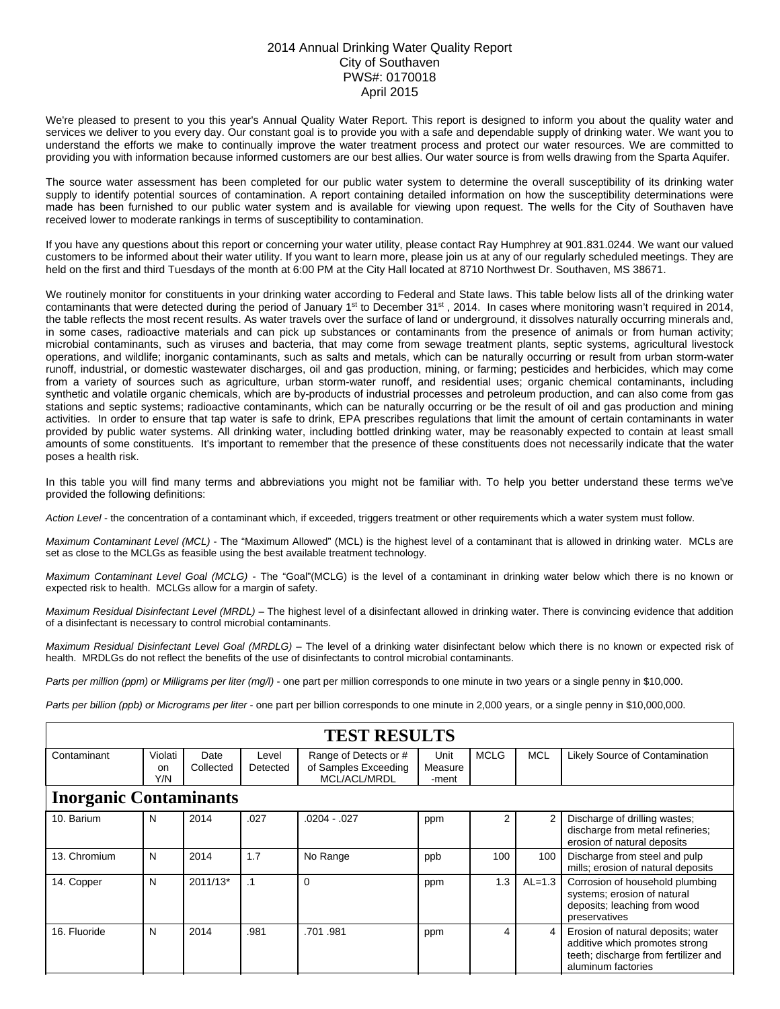## 2014 Annual Drinking Water Quality Report City of Southaven PWS#: 0170018 April 2015

We're pleased to present to you this year's Annual Quality Water Report. This report is designed to inform you about the quality water and services we deliver to you every day. Our constant goal is to provide you with a safe and dependable supply of drinking water. We want you to understand the efforts we make to continually improve the water treatment process and protect our water resources. We are committed to providing you with information because informed customers are our best allies. Our water source is from wells drawing from the Sparta Aquifer.

The source water assessment has been completed for our public water system to determine the overall susceptibility of its drinking water supply to identify potential sources of contamination. A report containing detailed information on how the susceptibility determinations were made has been furnished to our public water system and is available for viewing upon request. The wells for the City of Southaven have received lower to moderate rankings in terms of susceptibility to contamination.

If you have any questions about this report or concerning your water utility, please contact Ray Humphrey at 901.831.0244. We want our valued customers to be informed about their water utility. If you want to learn more, please join us at any of our regularly scheduled meetings. They are held on the first and third Tuesdays of the month at 6:00 PM at the City Hall located at 8710 Northwest Dr. Southaven, MS 38671.

We routinely monitor for constituents in your drinking water according to Federal and State laws. This table below lists all of the drinking water contaminants that were detected during the period of January 1<sup>st</sup> to December 31<sup>st</sup>, 2014. In cases where monitoring wasn't required in 2014, the table reflects the most recent results. As water travels over the surface of land or underground, it dissolves naturally occurring minerals and, in some cases, radioactive materials and can pick up substances or contaminants from the presence of animals or from human activity; microbial contaminants, such as viruses and bacteria, that may come from sewage treatment plants, septic systems, agricultural livestock operations, and wildlife; inorganic contaminants, such as salts and metals, which can be naturally occurring or result from urban storm-water runoff, industrial, or domestic wastewater discharges, oil and gas production, mining, or farming; pesticides and herbicides, which may come from a variety of sources such as agriculture, urban storm-water runoff, and residential uses; organic chemical contaminants, including synthetic and volatile organic chemicals, which are by-products of industrial processes and petroleum production, and can also come from gas stations and septic systems; radioactive contaminants, which can be naturally occurring or be the result of oil and gas production and mining activities. In order to ensure that tap water is safe to drink, EPA prescribes regulations that limit the amount of certain contaminants in water provided by public water systems. All drinking water, including bottled drinking water, may be reasonably expected to contain at least small amounts of some constituents. It's important to remember that the presence of these constituents does not necessarily indicate that the water poses a health risk.

In this table you will find many terms and abbreviations you might not be familiar with. To help you better understand these terms we've provided the following definitions:

*Action Level* - the concentration of a contaminant which, if exceeded, triggers treatment or other requirements which a water system must follow.

*Maximum Contaminant Level (MCL)* - The "Maximum Allowed" (MCL) is the highest level of a contaminant that is allowed in drinking water. MCLs are set as close to the MCLGs as feasible using the best available treatment technology.

*Maximum Contaminant Level Goal (MCLG)* - The "Goal"(MCLG) is the level of a contaminant in drinking water below which there is no known or expected risk to health. MCLGs allow for a margin of safety.

*Maximum Residual Disinfectant Level (MRDL)* – The highest level of a disinfectant allowed in drinking water. There is convincing evidence that addition of a disinfectant is necessary to control microbial contaminants.

*Maximum Residual Disinfectant Level Goal (MRDLG)* – The level of a drinking water disinfectant below which there is no known or expected risk of health. MRDLGs do not reflect the benefits of the use of disinfectants to control microbial contaminants.

*Parts per million (ppm) or Milligrams per liter (mg/l)* - one part per million corresponds to one minute in two years or a single penny in \$10,000.

*Parts per billion (ppb) or Micrograms per liter* - one part per billion corresponds to one minute in 2,000 years, or a single penny in \$10,000,000.

| <b>TEST RESULTS</b>           |                      |                   |                   |                                                               |                          |             |            |                                                                                                                                    |  |  |  |
|-------------------------------|----------------------|-------------------|-------------------|---------------------------------------------------------------|--------------------------|-------------|------------|------------------------------------------------------------------------------------------------------------------------------------|--|--|--|
| Contaminant                   | Violati<br>on<br>Y/N | Date<br>Collected | Level<br>Detected | Range of Detects or #<br>of Samples Exceeding<br>MCL/ACL/MRDL | Unit<br>Measure<br>-ment | <b>MCLG</b> | <b>MCL</b> | Likely Source of Contamination                                                                                                     |  |  |  |
| <b>Inorganic Contaminants</b> |                      |                   |                   |                                                               |                          |             |            |                                                                                                                                    |  |  |  |
| 10. Barium                    | N                    | 2014              | .027              | $.0204 - .027$                                                | ppm                      | 2           |            | Discharge of drilling wastes;<br>discharge from metal refineries;<br>erosion of natural deposits                                   |  |  |  |
| 13. Chromium                  | N                    | 2014              | 1.7               | No Range                                                      | ppb                      | 100         | 100        | Discharge from steel and pulp<br>mills; erosion of natural deposits                                                                |  |  |  |
| 14. Copper                    | N                    | 2011/13*          | $\cdot$ 1         | $\Omega$                                                      | ppm                      | 1.3         | $AL=1.3$   | Corrosion of household plumbing<br>systems; erosion of natural<br>deposits; leaching from wood<br>preservatives                    |  |  |  |
| 16. Fluoride                  | N                    | 2014              | .981              | .701.981                                                      | ppm                      | 4           | 4          | Erosion of natural deposits; water<br>additive which promotes strong<br>teeth; discharge from fertilizer and<br>aluminum factories |  |  |  |